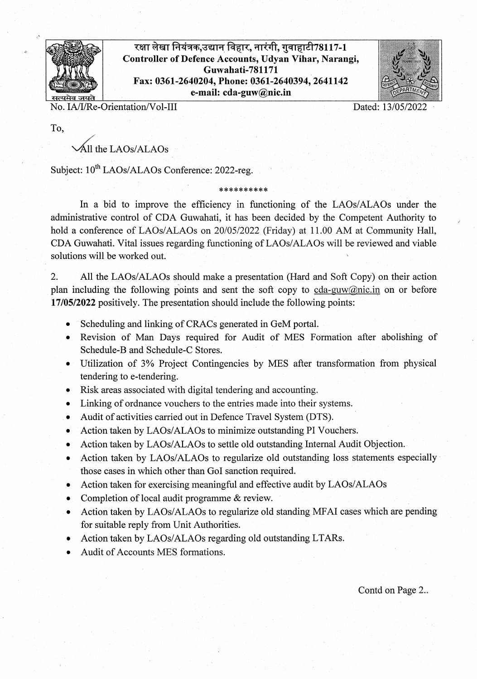

रक्षा लेखा नियंत्रक,उद्यान विहार, नारंगी, गुवाहाटी78117-1 Controller of Defence Accounts, Udyan Vihar, Narangi, Guwahati-781171 Fax: 0361-2640204, Phone: 0361-2640394, 2641142 . email: cdaguwn g ican



No. IA/I/Re-Orientation/Vol-III Dated: 13/05/2022

To,

 $'$ All the LAOs/ALAOs

Subject:  $10^{th}$  LAOs/ALAOs Conference: 2022-reg.

In a bid to improve the efficiency in functioning of the LAOs/ALAOs under the administrative control of CDA Guwahati, it has been decided by the Competent Authority to hold a conference of LAOs/ALAOs on 20/05/2022 (Friday) at 11.00 AM at Community Hall, CDA Guwahati. Vital issues regarding functioning of LAOs/ALAOs will be reviewed and viable solutions will be worked out.

\*\*\*\*\*\*\*\*\*\*

2. All the LAOs/ALAOs should make a presentation (Hard and Soft Copy) on their action plan including the following points and sent the soft copy to cda-guw@nic.in on or before 17/05/2022 positively. The presentation should include the following points:

- . Scheduling and linking of CRACs generated in GeM portal.
- . Revision of Man Days required for Audit of MES FOrmation after abolishing of Schedule-B and Schedule-C Stores.
- . Utilization of 3% Project Contingencies by MES after transformation from physical tendering to e-tendering.
- . Risk areas associated with digital tendering and accounting.
- . Linking of ordnance vouchers to the entries made into their systems.
- . Audit of activities carried out in Defence Travel System (DTS).
- . Action taken by LAOs/ALAOs to minimize outstanding PT Vouchers.
- . Action taken by LAOs/ALAOs to settle old outstanding Internal Audit Objection.
- . Action taken by LAOs/ALAOs to regularize old outstanding loss statements especially those cases in which other than GoI sanction required.
- . Action taken for exercising meaningful and effective audit by LAOs/ALAOs
- . Completion of local audit programme & review.
- Action taken by LAOs/ALAOs to regularize old standing MFAI cases which are pending for suitable reply from Unit Authorities.
- . Action taken by LAOs/ALAOs regarding old outstanding LTARs.
- . Audit of Accounts MES formations.

Contd on Page 2..